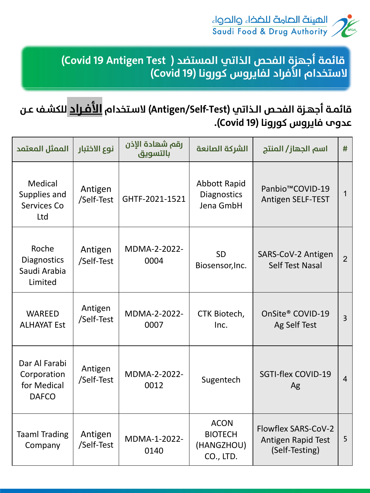

| الممثل المعتمد                                              | نوع الاختبار          | رقم شهادة الإذن<br>بالتسويق | الشركة الصانعة                                           | اسم الجهاز/ المنتج                                                 | #              |
|-------------------------------------------------------------|-----------------------|-----------------------------|----------------------------------------------------------|--------------------------------------------------------------------|----------------|
| Medical<br>Supplies and<br><b>Services Co</b><br>Ltd        | Antigen<br>/Self-Test | GHTF-2021-1521              | <b>Abbott Rapid</b><br><b>Diagnostics</b><br>Jena GmbH   | Panbio <sup>™</sup> COVID-19<br><b>Antigen SELF-TEST</b>           |                |
| Roche<br>Diagnostics<br>Saudi Arabia<br>Limited             | Antigen<br>/Self-Test | MDMA-2-2022-<br>0004        | <b>SD</b><br>Biosensor, Inc.                             | SARS-CoV-2 Antigen<br><b>Self Test Nasal</b>                       | $\overline{2}$ |
| <b>WAREED</b><br><b>ALHAYAT Est</b>                         | Antigen<br>/Self-Test | <b>MDMA-2-2022-</b><br>0007 | CTK Biotech,<br>Inc.                                     | OnSite® COVID-19<br>Ag Self Test                                   | 3              |
| Dar Al Farabi<br>Corporation<br>for Medical<br><b>DAFCO</b> | Antigen<br>/Self-Test | <b>MDMA-2-2022-</b><br>0012 | Sugentech                                                | SGTI-flex COVID-19<br>Ag                                           | $\overline{4}$ |
| <b>Taaml Trading</b><br>Company                             | Antigen<br>/Self-Test | MDMA-1-2022-<br>0140        | <b>ACON</b><br><b>BIOTECH</b><br>(HANGZHOU)<br>CO., LTD. | Flowflex SARS-CoV-2<br><b>Antigen Rapid Test</b><br>(Self-Testing) | 5              |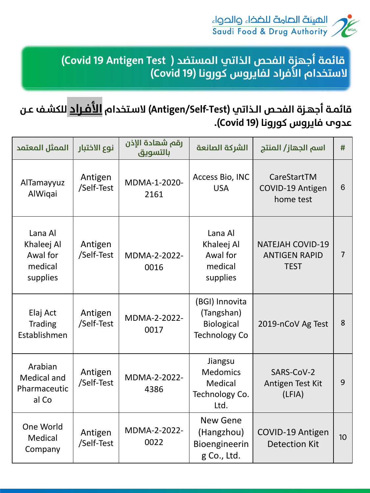



| الممثل المعتمد                                           | نوع الاختبار          | رقم شهادة الإذن<br>بالتسويق | الشركة الصانعة                                                            | اسم الجهاز/ المنتج                                             | #  |
|----------------------------------------------------------|-----------------------|-----------------------------|---------------------------------------------------------------------------|----------------------------------------------------------------|----|
| AlTamayyuz<br>AlWiqai                                    | Antigen<br>/Self-Test | MDMA-1-2020-<br>2161        | <b>Access Bio, INC</b><br><b>USA</b>                                      | CareStartTM<br><b>COVID-19 Antigen</b><br>home test            | 6  |
| Lana Al<br>Khaleej Al<br>Awal for<br>medical<br>supplies | Antigen<br>/Self-Test | <b>MDMA-2-2022-</b><br>0016 | Lana Al<br>Khaleej Al<br>Awal for<br>medical<br>supplies                  | <b>NATEJAH COVID-19</b><br><b>ANTIGEN RAPID</b><br><b>TEST</b> | 7  |
| Elaj Act<br><b>Trading</b><br>Establishmen               | Antigen<br>/Self-Test | <b>MDMA-2-2022-</b><br>0017 | (BGI) Innovita<br>(Tangshan)<br><b>Biological</b><br><b>Technology Co</b> | 2019-nCoV Ag Test                                              | 8  |
| Arabian<br><b>Medical and</b><br>Pharmaceutic<br>al Co   | Antigen<br>/Self-Test | <b>MDMA-2-2022-</b><br>4386 | Jiangsu<br><b>Medomics</b><br>Medical<br>Technology Co.<br>Ltd.           | SARS-CoV-2<br>Antigen Test Kit<br>(LFIA)                       | 9  |
| One World<br>Medical<br>Company                          | Antigen<br>/Self-Test | MDMA-2-2022-<br>0022        | <b>New Gene</b><br>(Hangzhou)<br>Bioengineerin<br>g Co., Ltd.             | COVID-19 Antigen<br><b>Detection Kit</b>                       | 10 |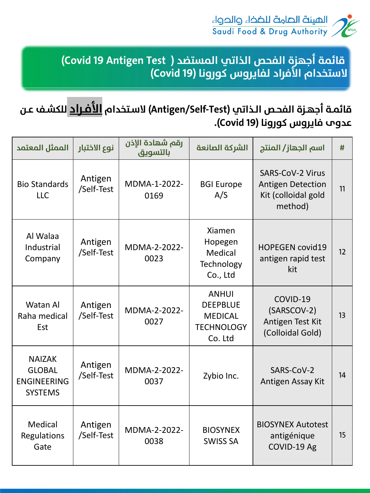

| الممثل المعتمد                                                         | نوع الاختبار          | رقم شهادة الإذن<br>بالتسويق | الشركة الصانعة                                                                    | اسم الجهاز/ المنتج                                                                    | #  |
|------------------------------------------------------------------------|-----------------------|-----------------------------|-----------------------------------------------------------------------------------|---------------------------------------------------------------------------------------|----|
| <b>Bio Standards</b><br><b>LLC</b>                                     | Antigen<br>/Self-Test | MDMA-1-2022-<br>0169        | <b>BGI Europe</b><br>A/S                                                          | <b>SARS-CoV-2 Virus</b><br><b>Antigen Detection</b><br>Kit (colloidal gold<br>method) | 11 |
| Al Walaa<br>Industrial<br>Company                                      | Antigen<br>/Self-Test | MDMA-2-2022-<br>0023        | <b>Xiamen</b><br>Hopegen<br>Medical<br><b>Technology</b><br>Co., Ltd              | <b>HOPEGEN covid19</b><br>antigen rapid test<br>kit                                   | 12 |
| <b>Watan Al</b><br>Raha medical<br>Est                                 | Antigen<br>/Self-Test | MDMA-2-2022-<br>0027        | <b>ANHUI</b><br><b>DEEPBLUE</b><br><b>MEDICAL</b><br><b>TECHNOLOGY</b><br>Co. Ltd | COVID-19<br>(SARSCOV-2)<br>Antigen Test Kit<br>(Colloidal Gold)                       | 13 |
| <b>NAIZAK</b><br><b>GLOBAL</b><br><b>ENGINEERING</b><br><b>SYSTEMS</b> | Antigen<br>/Self-Test | <b>MDMA-2-2022-</b><br>0037 | Zybio Inc.                                                                        | SARS-CoV-2<br>Antigen Assay Kit                                                       | 14 |
| Medical<br><b>Regulations</b><br>Gate                                  | Antigen<br>/Self-Test | <b>MDMA-2-2022-</b><br>0038 | <b>BIOSYNEX</b><br><b>SWISS SA</b>                                                | <b>BIOSYNEX Autotest</b><br>antigénique<br>COVID-19 Ag                                | 15 |